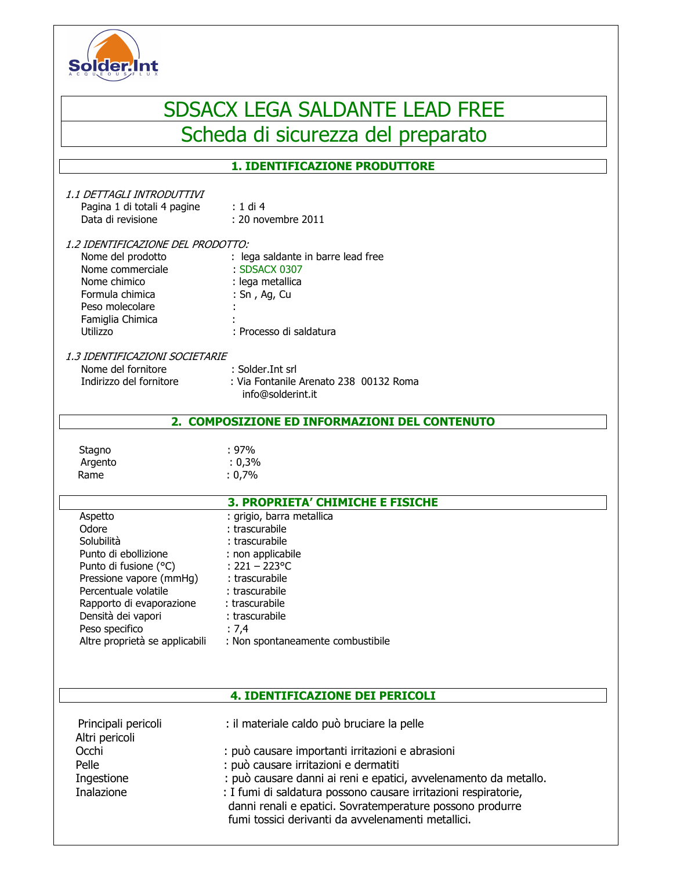

# SDSACX LEGA SALDANTE LEAD FREE Scheda di sicurezza del preparato

# **1. IDENTIFICAZIONE PRODUTTORE**

| 1.1 DETTAGLI INTRODUTTIVI<br>Pagina 1 di totali 4 pagine<br>Data di revisione                                                                                                                                                            | $: 1$ di 4<br>: 20 novembre 2011                                                                                                                                                                                             |  |  |
|------------------------------------------------------------------------------------------------------------------------------------------------------------------------------------------------------------------------------------------|------------------------------------------------------------------------------------------------------------------------------------------------------------------------------------------------------------------------------|--|--|
| 1.2 IDENTIFICAZIONE DEL PRODOTTO:<br>Nome del prodotto<br>Nome commerciale<br>Nome chimico<br>Formula chimica<br>Peso molecolare<br>Famiglia Chimica<br>Utilizzo                                                                         | : lega saldante in barre lead free<br>: SDSACX 0307<br>: lega metallica<br>: Sn, Ag, Cu<br>: Processo di saldatura                                                                                                           |  |  |
| 1.3 IDENTIFICAZIONI SOCIETARIE<br>Nome del fornitore<br>Indirizzo del fornitore                                                                                                                                                          | : Solder. Int srl<br>: Via Fontanile Arenato 238 00132 Roma<br>info@solderint.it                                                                                                                                             |  |  |
| 2. COMPOSIZIONE ED INFORMAZIONI DEL CONTENUTO                                                                                                                                                                                            |                                                                                                                                                                                                                              |  |  |
| Stagno<br>Argento<br>Rame                                                                                                                                                                                                                | $: 97\%$<br>: 0,3%<br>: 0,7%                                                                                                                                                                                                 |  |  |
|                                                                                                                                                                                                                                          | <b>3. PROPRIETA' CHIMICHE E FISICHE</b>                                                                                                                                                                                      |  |  |
| Aspetto<br>Odore<br>Solubilità<br>Punto di ebollizione<br>Punto di fusione (°C)<br>Pressione vapore (mmHg)<br>Percentuale volatile<br>Rapporto di evaporazione<br>Densità dei vapori<br>Peso specifico<br>Altre proprietà se applicabili | : grigio, barra metallica<br>: trascurabile<br>: trascurabile<br>: non applicabile<br>: $221 - 223$ °C<br>: trascurabile<br>: trascurabile<br>: trascurabile<br>: trascurabile<br>: 7,4<br>: Non spontaneamente combustibile |  |  |
|                                                                                                                                                                                                                                          | 4. IDENTIFICAZIONE DEI PERICOLI                                                                                                                                                                                              |  |  |
| Principali pericoli<br>Altri pericoli<br>Occhi<br>Pelle<br>Ingestione                                                                                                                                                                    | : il materiale caldo può bruciare la pelle<br>: può causare importanti irritazioni e abrasioni<br>: può causare irritazioni e dermatiti<br>: può causare danni ai reni e epatici, avvelenamento da metallo.                  |  |  |
| Inalazione                                                                                                                                                                                                                               | : I fumi di saldatura possono causare irritazioni respiratorie,<br>danni renali e epatici. Sovratemperature possono produrre<br>fumi tossici derivanti da avvelenamenti metallici.                                           |  |  |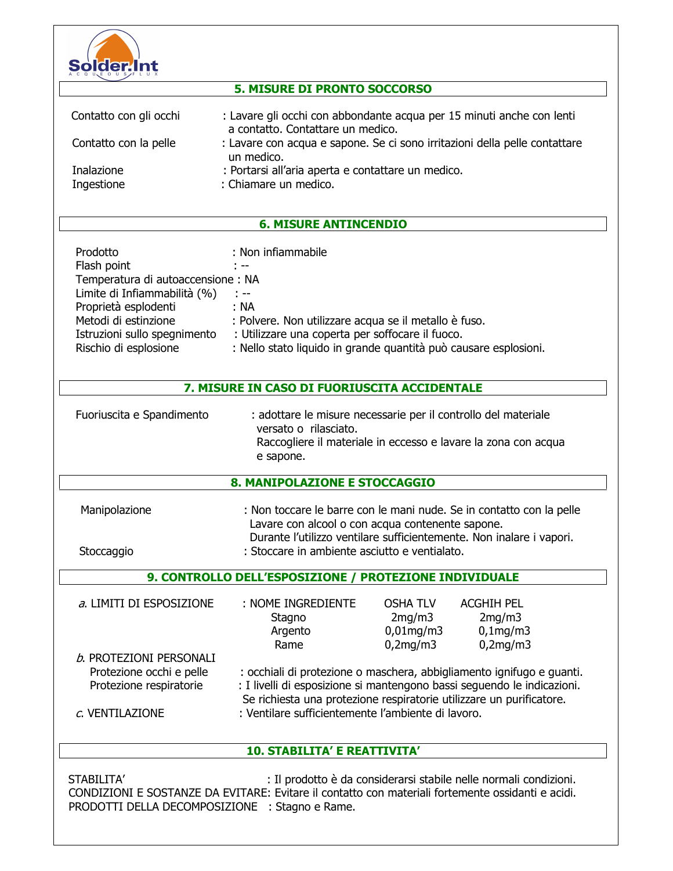

# **5. MISURE DI PRONTO SOCCORSO**

| Contatto con gli occhi | : Lavare gli occhi con abbondante acqua per 15 minuti anche con lenti<br>a contatto. Contattare un medico. |
|------------------------|------------------------------------------------------------------------------------------------------------|
| Contatto con la pelle  | : Lavare con acqua e sapone. Se ci sono irritazioni della pelle contattare<br>un medico.                   |
| Inalazione             | : Portarsi all'aria aperta e contattare un medico.                                                         |
| Ingestione             | : Chiamare un medico.                                                                                      |

## **6. MISURE ANTINCENDIO**

| Prodotto                          | : Non infiammabile                                               |
|-----------------------------------|------------------------------------------------------------------|
| Flash point                       | $\sim$ $-$                                                       |
| Temperatura di autoaccensione: NA |                                                                  |
| Limite di Infiammabilità (%)      | $\sim 100$ mm                                                    |
| Proprietà esplodenti              | :NA                                                              |
| Metodi di estinzione              | : Polvere. Non utilizzare acqua se il metallo è fuso.            |
| Istruzioni sullo spegnimento      | : Utilizzare una coperta per soffocare il fuoco.                 |
| Rischio di esplosione             | : Nello stato liquido in grande quantità può causare esplosioni. |

#### 7. MISURE IN CASO DI FUORIUSCITA ACCIDENTALE

| Fuoriuscita e Spandimento | : adottare le misure necessarie per il controllo del materiale<br>versato o rilasciato. |  |
|---------------------------|-----------------------------------------------------------------------------------------|--|
|                           | Raccogliere il materiale in eccesso e lavare la zona con acqua                          |  |
|                           | e sapone.                                                                               |  |

### 8. MANIPOLAZIONE E STOCCAGGIO

| Manipolazione | : Non toccare le barre con le mani nude. Se in contatto con la pelle |
|---------------|----------------------------------------------------------------------|
|               | Lavare con alcool o con acqua contenente sapone.                     |
|               | Durante l'utilizzo ventilare sufficientemente. Non inalare i vapori. |
| Stoccaggio    | : Stoccare in ambiente asciutto e ventialato.                        |

## 9. CONTROLLO DELL'ESPOSIZIONE / PROTEZIONE INDIVIDUALE

| a. LIMITI DI ESPOSIZIONE                            | : NOME INGREDIENTE<br>Stagno<br>Argento<br>Rame                                                                                                                                                                          | <b>OSHA TLV</b><br>2mg/m3<br>$0,01$ mg/m $3$<br>0,2mg/m3 | <b>ACGHIH PEL</b><br>2mq/m3<br>$0,1$ mg/m $3$<br>0,2mg/m3 |  |
|-----------------------------------------------------|--------------------------------------------------------------------------------------------------------------------------------------------------------------------------------------------------------------------------|----------------------------------------------------------|-----------------------------------------------------------|--|
| b. PROTEZIONI PERSONALI                             |                                                                                                                                                                                                                          |                                                          |                                                           |  |
| Protezione occhi e pelle<br>Protezione respiratorie | : occhiali di protezione o maschera, abbigliamento ignifugo e guanti.<br>: I livelli di esposizione si mantengono bassi seguendo le indicazioni.<br>Se richiesta una protezione respiratorie utilizzare un purificatore. |                                                          |                                                           |  |
| c. VENTILAZIONE                                     | : Ventilare sufficientemente l'ambiente di lavoro.                                                                                                                                                                       |                                                          |                                                           |  |

# **10. STABILITA' E REATTIVITA'**

STABILITA' : Il prodotto è da considerarsi stabile nelle normali condizioni. CONDIZIONI E SOSTANZE DA EVITARE: Evitare il contatto con materiali fortemente ossidanti e acidi. PRODOTTI DELLA DECOMPOSIZIONE : Stagno e Rame.